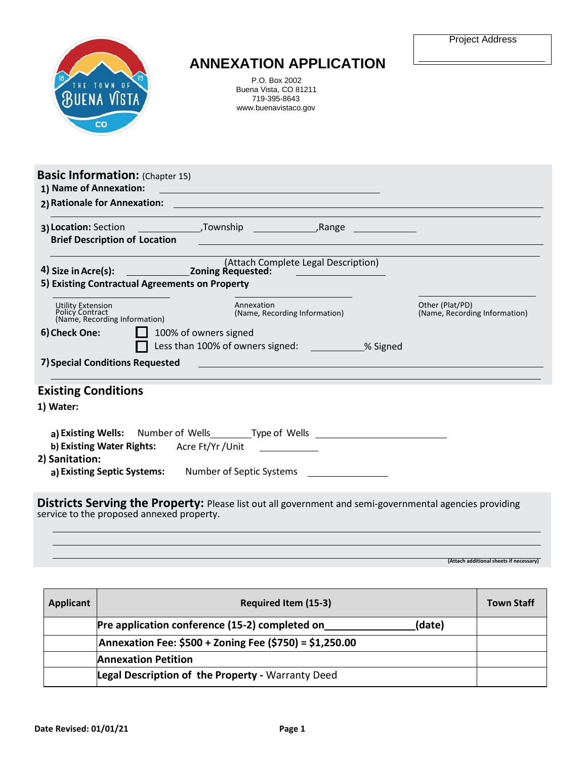|  | Project Address |
|--|-----------------|
|--|-----------------|



## **ANNEXATION APPLICATION**

P.O. Box 2002 Buena Vista, CO 81211 719-395-8643 [www.buenavistaco.gov](http://www.buenavistaco.gov/)

| <b>Brief Description of Location</b>                                  |                              |                                                                                  |                                                  |
|-----------------------------------------------------------------------|------------------------------|----------------------------------------------------------------------------------|--------------------------------------------------|
|                                                                       |                              | (Attach Complete Legal Description)                                              |                                                  |
| 5) Existing Contractual Agreements on Property                        |                              |                                                                                  |                                                  |
| Utility Extension<br>Policy Contract<br>(Name, Recording Information) |                              | Annexation<br>(Name, Recording Information)                                      | Other (Plat/PD)<br>(Name, Recording Information) |
| 6) Check One:                                                         |                              |                                                                                  |                                                  |
|                                                                       | $\Box$ 100% of owners signed |                                                                                  |                                                  |
|                                                                       |                              | Less than 100% of owners signed: ____________% Signed                            |                                                  |
| 7) Special Conditions Requested                                       |                              | <u> 1989 - Johann Stein, marwolaethau (b. 1989)</u>                              |                                                  |
|                                                                       |                              |                                                                                  |                                                  |
| <b>Existing Conditions</b>                                            |                              |                                                                                  |                                                  |
| 1) Water:                                                             |                              |                                                                                  |                                                  |
|                                                                       |                              |                                                                                  |                                                  |
| b) Existing Water Rights: Acre Ft/Yr/Unit                             |                              | a) Existing Wells: Number of Wells Type of Wells _______________________________ |                                                  |
| 2) Sanitation:                                                        |                              | a) Existing Septic Systems: Number of Septic Systems ___________________________ |                                                  |

**(Attach additional sheets if necessary)**

| Applicant | <b>Required Item (15-3)</b>                              | <b>Town Staff</b> |
|-----------|----------------------------------------------------------|-------------------|
|           | Pre application conference (15-2) completed on<br>(date) |                   |
|           | Annexation Fee: \$500 + Zoning Fee (\$750) = \$1,250.00  |                   |
|           | <b>Annexation Petition</b>                               |                   |
|           | Legal Description of the Property - Warranty Deed        |                   |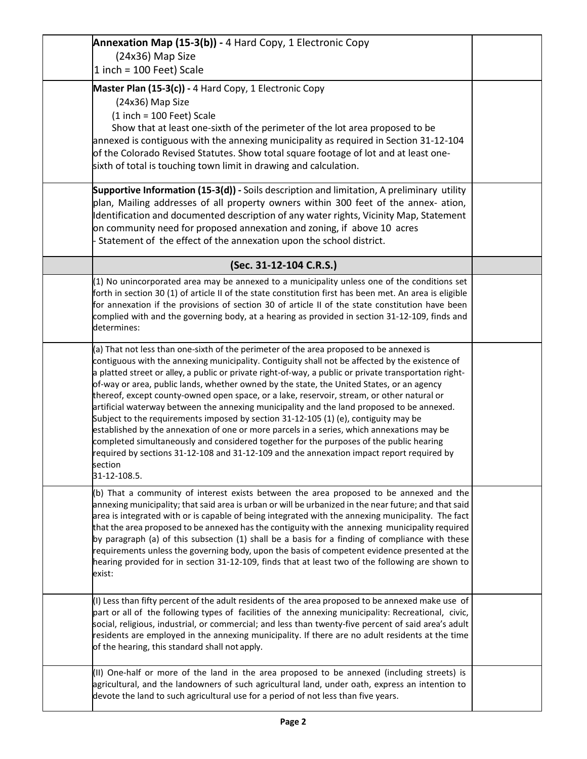| Annexation Map (15-3(b)) - 4 Hard Copy, 1 Electronic Copy                                                                                                                                                   |  |
|-------------------------------------------------------------------------------------------------------------------------------------------------------------------------------------------------------------|--|
| (24x36) Map Size<br>1 inch = 100 Feet) Scale                                                                                                                                                                |  |
|                                                                                                                                                                                                             |  |
| Master Plan (15-3(c)) - 4 Hard Copy, 1 Electronic Copy                                                                                                                                                      |  |
| (24x36) Map Size                                                                                                                                                                                            |  |
| $(1$ inch = 100 Feet) Scale                                                                                                                                                                                 |  |
| Show that at least one-sixth of the perimeter of the lot area proposed to be                                                                                                                                |  |
| annexed is contiguous with the annexing municipality as required in Section 31-12-104                                                                                                                       |  |
| of the Colorado Revised Statutes. Show total square footage of lot and at least one-                                                                                                                        |  |
| sixth of total is touching town limit in drawing and calculation.                                                                                                                                           |  |
| Supportive Information (15-3(d)) - Soils description and limitation, A preliminary utility                                                                                                                  |  |
| plan, Mailing addresses of all property owners within 300 feet of the annex- ation,                                                                                                                         |  |
| Identification and documented description of any water rights, Vicinity Map, Statement                                                                                                                      |  |
| on community need for proposed annexation and zoning, if above 10 acres                                                                                                                                     |  |
| Statement of the effect of the annexation upon the school district.                                                                                                                                         |  |
| (Sec. 31-12-104 C.R.S.)                                                                                                                                                                                     |  |
| $(1)$ No unincorporated area may be annexed to a municipality unless one of the conditions set                                                                                                              |  |
| forth in section 30 (1) of article II of the state constitution first has been met. An area is eligible                                                                                                     |  |
| for annexation if the provisions of section 30 of article II of the state constitution have been                                                                                                            |  |
| complied with and the governing body, at a hearing as provided in section 31-12-109, finds and                                                                                                              |  |
| determines:                                                                                                                                                                                                 |  |
| (a) That not less than one-sixth of the perimeter of the area proposed to be annexed is                                                                                                                     |  |
| contiguous with the annexing municipality. Contiguity shall not be affected by the existence of                                                                                                             |  |
| a platted street or alley, a public or private right-of-way, a public or private transportation right-                                                                                                      |  |
| of-way or area, public lands, whether owned by the state, the United States, or an agency                                                                                                                   |  |
| thereof, except county-owned open space, or a lake, reservoir, stream, or other natural or<br>artificial waterway between the annexing municipality and the land proposed to be annexed.                    |  |
| Subject to the requirements imposed by section 31-12-105 (1) (e), contiguity may be                                                                                                                         |  |
| established by the annexation of one or more parcels in a series, which annexations may be                                                                                                                  |  |
| completed simultaneously and considered together for the purposes of the public hearing                                                                                                                     |  |
| required by sections 31-12-108 and 31-12-109 and the annexation impact report required by                                                                                                                   |  |
| section                                                                                                                                                                                                     |  |
| 31-12-108.5.                                                                                                                                                                                                |  |
| (b) That a community of interest exists between the area proposed to be annexed and the                                                                                                                     |  |
| annexing municipality; that said area is urban or will be urbanized in the near future; and that said                                                                                                       |  |
| area is integrated with or is capable of being integrated with the annexing municipality. The fact<br>that the area proposed to be annexed has the contiguity with the annexing municipality required       |  |
| by paragraph (a) of this subsection (1) shall be a basis for a finding of compliance with these                                                                                                             |  |
| requirements unless the governing body, upon the basis of competent evidence presented at the                                                                                                               |  |
| hearing provided for in section 31-12-109, finds that at least two of the following are shown to                                                                                                            |  |
| exist:                                                                                                                                                                                                      |  |
|                                                                                                                                                                                                             |  |
| (I) Less than fifty percent of the adult residents of the area proposed to be annexed make use of                                                                                                           |  |
| part or all of the following types of facilities of the annexing municipality: Recreational, civic,<br>social, religious, industrial, or commercial; and less than twenty-five percent of said area's adult |  |
| residents are employed in the annexing municipality. If there are no adult residents at the time                                                                                                            |  |
| of the hearing, this standard shall not apply.                                                                                                                                                              |  |
|                                                                                                                                                                                                             |  |
| (II) One-half or more of the land in the area proposed to be annexed (including streets) is                                                                                                                 |  |
| agricultural, and the landowners of such agricultural land, under oath, express an intention to                                                                                                             |  |
| devote the land to such agricultural use for a period of not less than five years.                                                                                                                          |  |